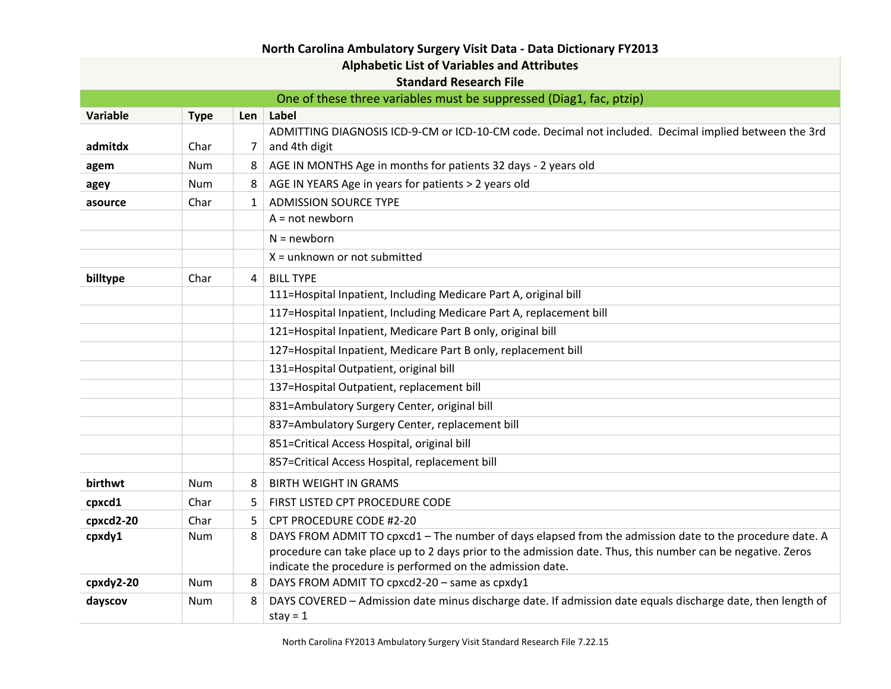| <b>Alphabetic List of Variables and Attributes</b>                  |             |                |                                                                                                                                                                                                                        |  |
|---------------------------------------------------------------------|-------------|----------------|------------------------------------------------------------------------------------------------------------------------------------------------------------------------------------------------------------------------|--|
|                                                                     |             |                | <b>Standard Research File</b>                                                                                                                                                                                          |  |
| One of these three variables must be suppressed (Diag1, fac, ptzip) |             |                |                                                                                                                                                                                                                        |  |
| Variable                                                            | <b>Type</b> | Len            | Label                                                                                                                                                                                                                  |  |
| admitdx                                                             | Char        | 7              | ADMITTING DIAGNOSIS ICD-9-CM or ICD-10-CM code. Decimal not included. Decimal implied between the 3rd<br>and 4th digit                                                                                                 |  |
| agem                                                                | Num         | 8              | AGE IN MONTHS Age in months for patients 32 days - 2 years old                                                                                                                                                         |  |
| agey                                                                | Num         | 8              | AGE IN YEARS Age in years for patients > 2 years old                                                                                                                                                                   |  |
| asource                                                             | Char        | $\mathbf{1}$   | <b>ADMISSION SOURCE TYPE</b>                                                                                                                                                                                           |  |
|                                                                     |             |                | $A = not newborn$                                                                                                                                                                                                      |  |
|                                                                     |             |                | $N = newborn$                                                                                                                                                                                                          |  |
|                                                                     |             |                | $X =$ unknown or not submitted                                                                                                                                                                                         |  |
| billtype                                                            | Char        | $\overline{4}$ | <b>BILL TYPE</b>                                                                                                                                                                                                       |  |
|                                                                     |             |                | 111=Hospital Inpatient, Including Medicare Part A, original bill                                                                                                                                                       |  |
|                                                                     |             |                | 117=Hospital Inpatient, Including Medicare Part A, replacement bill                                                                                                                                                    |  |
|                                                                     |             |                | 121=Hospital Inpatient, Medicare Part B only, original bill                                                                                                                                                            |  |
|                                                                     |             |                | 127=Hospital Inpatient, Medicare Part B only, replacement bill                                                                                                                                                         |  |
|                                                                     |             |                | 131=Hospital Outpatient, original bill                                                                                                                                                                                 |  |
|                                                                     |             |                | 137=Hospital Outpatient, replacement bill                                                                                                                                                                              |  |
|                                                                     |             |                | 831=Ambulatory Surgery Center, original bill                                                                                                                                                                           |  |
|                                                                     |             |                | 837=Ambulatory Surgery Center, replacement bill                                                                                                                                                                        |  |
|                                                                     |             |                | 851=Critical Access Hospital, original bill                                                                                                                                                                            |  |
|                                                                     |             |                | 857=Critical Access Hospital, replacement bill                                                                                                                                                                         |  |
| birthwt                                                             | Num         | 8              | <b>BIRTH WEIGHT IN GRAMS</b>                                                                                                                                                                                           |  |
| cpxcd1                                                              | Char        | 5              | FIRST LISTED CPT PROCEDURE CODE                                                                                                                                                                                        |  |
| cpxcd2-20                                                           | Char        | 5.             | CPT PROCEDURE CODE #2-20                                                                                                                                                                                               |  |
| cpxdy1                                                              | Num         | 8              | DAYS FROM ADMIT TO cpxcd1 - The number of days elapsed from the admission date to the procedure date. A<br>procedure can take place up to 2 days prior to the admission date. Thus, this number can be negative. Zeros |  |
|                                                                     |             |                | indicate the procedure is performed on the admission date.                                                                                                                                                             |  |
| cpxdy2-20                                                           | <b>Num</b>  | 8              | DAYS FROM ADMIT TO cpxcd2-20 - same as cpxdy1                                                                                                                                                                          |  |
| dayscov                                                             | Num         | 8              | DAYS COVERED - Admission date minus discharge date. If admission date equals discharge date, then length of<br>stay = $1$                                                                                              |  |

## **North Carolina Ambulatory Surgery Visit Data - Data Dictionary FY2013**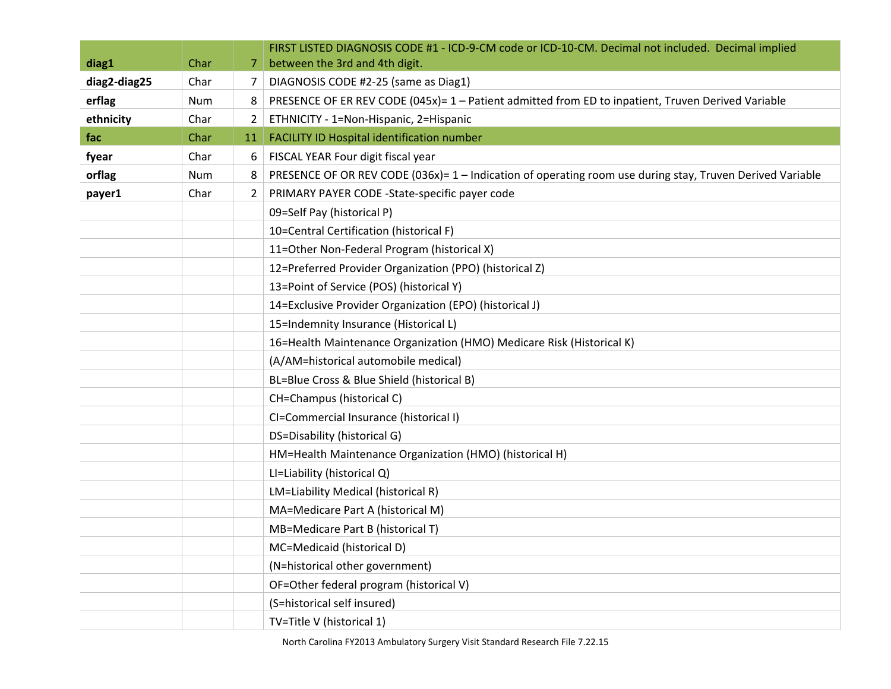|              |      |                 | FIRST LISTED DIAGNOSIS CODE #1 - ICD-9-CM code or ICD-10-CM. Decimal not included. Decimal implied        |
|--------------|------|-----------------|-----------------------------------------------------------------------------------------------------------|
| diag1        | Char | 7               | between the 3rd and 4th digit.                                                                            |
| diag2-diag25 | Char | $\prime$        | DIAGNOSIS CODE #2-25 (same as Diag1)                                                                      |
| erflag       | Num  | 8               | PRESENCE OF ER REV CODE (045x)= 1 - Patient admitted from ED to inpatient, Truven Derived Variable        |
| ethnicity    | Char | $\mathbf{2}$    | ETHNICITY - 1=Non-Hispanic, 2=Hispanic                                                                    |
| fac          | Char | 11 <sup>1</sup> | FACILITY ID Hospital identification number                                                                |
| fyear        | Char | 6               | FISCAL YEAR Four digit fiscal year                                                                        |
| orflag       | Num  | 8               | PRESENCE OF OR REV CODE (036x)= 1 - Indication of operating room use during stay, Truven Derived Variable |
| payer1       | Char | $\overline{2}$  | PRIMARY PAYER CODE -State-specific payer code                                                             |
|              |      |                 | 09=Self Pay (historical P)                                                                                |
|              |      |                 | 10=Central Certification (historical F)                                                                   |
|              |      |                 | 11=Other Non-Federal Program (historical X)                                                               |
|              |      |                 | 12=Preferred Provider Organization (PPO) (historical Z)                                                   |
|              |      |                 | 13=Point of Service (POS) (historical Y)                                                                  |
|              |      |                 | 14=Exclusive Provider Organization (EPO) (historical J)                                                   |
|              |      |                 | 15=Indemnity Insurance (Historical L)                                                                     |
|              |      |                 | 16=Health Maintenance Organization (HMO) Medicare Risk (Historical K)                                     |
|              |      |                 | (A/AM=historical automobile medical)                                                                      |
|              |      |                 | BL=Blue Cross & Blue Shield (historical B)                                                                |
|              |      |                 | CH=Champus (historical C)                                                                                 |
|              |      |                 | CI=Commercial Insurance (historical I)                                                                    |
|              |      |                 | DS=Disability (historical G)                                                                              |
|              |      |                 | HM=Health Maintenance Organization (HMO) (historical H)                                                   |
|              |      |                 | LI=Liability (historical Q)                                                                               |
|              |      |                 | LM=Liability Medical (historical R)                                                                       |
|              |      |                 | MA=Medicare Part A (historical M)                                                                         |
|              |      |                 | MB=Medicare Part B (historical T)                                                                         |
|              |      |                 | MC=Medicaid (historical D)                                                                                |
|              |      |                 | (N=historical other government)                                                                           |
|              |      |                 | OF=Other federal program (historical V)                                                                   |
|              |      |                 | (S=historical self insured)                                                                               |
|              |      |                 | TV=Title V (historical 1)                                                                                 |

North Carolina FY2013 Ambulatory Surgery Visit Standard Research File 7.22.15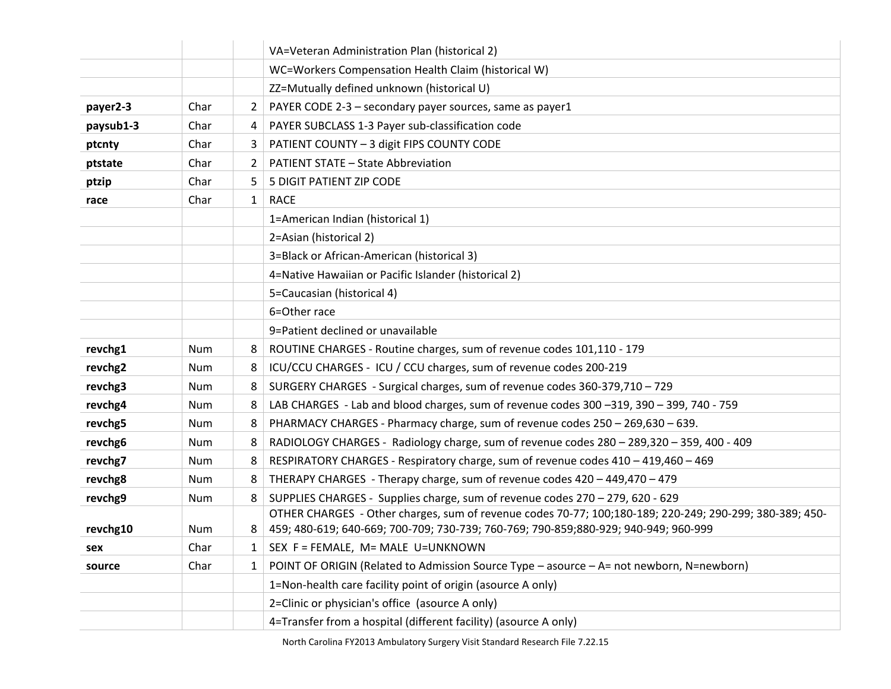|           |            |              | VA=Veteran Administration Plan (historical 2)                                                           |
|-----------|------------|--------------|---------------------------------------------------------------------------------------------------------|
|           |            |              | WC=Workers Compensation Health Claim (historical W)                                                     |
|           |            |              | ZZ=Mutually defined unknown (historical U)                                                              |
| payer2-3  | Char       | $\mathbf{2}$ | PAYER CODE 2-3 - secondary payer sources, same as payer1                                                |
| paysub1-3 | Char       | 4            | PAYER SUBCLASS 1-3 Payer sub-classification code                                                        |
| ptcnty    | Char       | 3            | PATIENT COUNTY - 3 digit FIPS COUNTY CODE                                                               |
| ptstate   | Char       | $\mathbf{2}$ | <b>PATIENT STATE - State Abbreviation</b>                                                               |
| ptzip     | Char       | 5.           | 5 DIGIT PATIENT ZIP CODE                                                                                |
| race      | Char       | $\mathbf{1}$ | <b>RACE</b>                                                                                             |
|           |            |              | 1=American Indian (historical 1)                                                                        |
|           |            |              | 2=Asian (historical 2)                                                                                  |
|           |            |              | 3=Black or African-American (historical 3)                                                              |
|           |            |              | 4=Native Hawaiian or Pacific Islander (historical 2)                                                    |
|           |            |              | 5=Caucasian (historical 4)                                                                              |
|           |            |              | 6=Other race                                                                                            |
|           |            |              | 9=Patient declined or unavailable                                                                       |
| revchg1   | Num        | 8            | ROUTINE CHARGES - Routine charges, sum of revenue codes 101,110 - 179                                   |
| revchg2   | Num        | 8            | ICU/CCU CHARGES - ICU / CCU charges, sum of revenue codes 200-219                                       |
| revchg3   | Num        | 8            | SURGERY CHARGES - Surgical charges, sum of revenue codes 360-379,710 - 729                              |
| revchg4   | <b>Num</b> | 8            | LAB CHARGES - Lab and blood charges, sum of revenue codes 300 -319, 390 - 399, 740 - 759                |
| revchg5   | Num        | 8            | PHARMACY CHARGES - Pharmacy charge, sum of revenue codes 250 - 269,630 - 639.                           |
| revchg6   | <b>Num</b> | 8            | RADIOLOGY CHARGES - Radiology charge, sum of revenue codes 280 - 289,320 - 359, 400 - 409               |
| revchg7   | <b>Num</b> | 8            | RESPIRATORY CHARGES - Respiratory charge, sum of revenue codes 410 - 419,460 - 469                      |
| revchg8   | <b>Num</b> | 8            | THERAPY CHARGES - Therapy charge, sum of revenue codes 420 - 449,470 - 479                              |
| revchg9   | Num        | 8            | SUPPLIES CHARGES - Supplies charge, sum of revenue codes 270 - 279, 620 - 629                           |
|           |            |              | OTHER CHARGES - Other charges, sum of revenue codes 70-77; 100;180-189; 220-249; 290-299; 380-389; 450- |
| revchg10  | Num        | 8            | 459; 480-619; 640-669; 700-709; 730-739; 760-769; 790-859; 880-929; 940-949; 960-999                    |
| sex       | Char       |              | SEX F = FEMALE, M= MALE U=UNKNOWN                                                                       |
| source    | Char       | $\mathbf{1}$ | POINT OF ORIGIN (Related to Admission Source Type - asource - A= not newborn, N=newborn)                |
|           |            |              | 1=Non-health care facility point of origin (asource A only)                                             |
|           |            |              | 2=Clinic or physician's office (asource A only)                                                         |
|           |            |              | 4=Transfer from a hospital (different facility) (asource A only)                                        |

North Carolina FY2013 Ambulatory Surgery Visit Standard Research File 7.22.15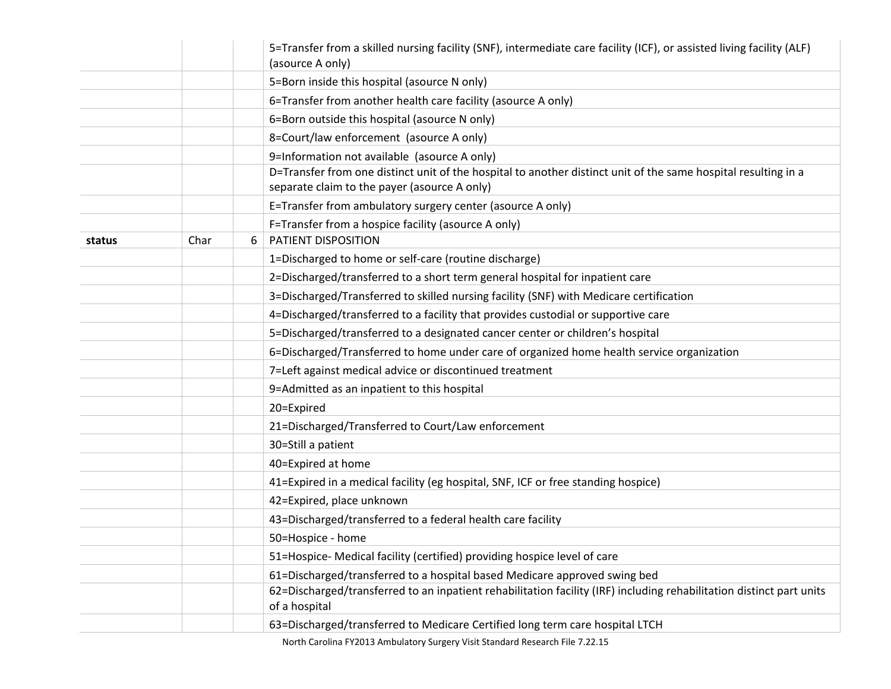|        |      |   | 5=Transfer from a skilled nursing facility (SNF), intermediate care facility (ICF), or assisted living facility (ALF)<br>(asource A only) |
|--------|------|---|-------------------------------------------------------------------------------------------------------------------------------------------|
|        |      |   | 5=Born inside this hospital (asource N only)                                                                                              |
|        |      |   | 6=Transfer from another health care facility (asource A only)                                                                             |
|        |      |   | 6=Born outside this hospital (asource N only)                                                                                             |
|        |      |   | 8=Court/law enforcement (asource A only)                                                                                                  |
|        |      |   | 9=Information not available (asource A only)                                                                                              |
|        |      |   | D=Transfer from one distinct unit of the hospital to another distinct unit of the same hospital resulting in a                            |
|        |      |   | separate claim to the payer (asource A only)                                                                                              |
|        |      |   | E=Transfer from ambulatory surgery center (asource A only)                                                                                |
|        |      |   | F=Transfer from a hospice facility (asource A only)                                                                                       |
| status | Char | 6 | PATIENT DISPOSITION                                                                                                                       |
|        |      |   | 1=Discharged to home or self-care (routine discharge)                                                                                     |
|        |      |   | 2=Discharged/transferred to a short term general hospital for inpatient care                                                              |
|        |      |   | 3=Discharged/Transferred to skilled nursing facility (SNF) with Medicare certification                                                    |
|        |      |   | 4=Discharged/transferred to a facility that provides custodial or supportive care                                                         |
|        |      |   | 5=Discharged/transferred to a designated cancer center or children's hospital                                                             |
|        |      |   | 6=Discharged/Transferred to home under care of organized home health service organization                                                 |
|        |      |   | 7=Left against medical advice or discontinued treatment                                                                                   |
|        |      |   | 9=Admitted as an inpatient to this hospital                                                                                               |
|        |      |   | 20=Expired                                                                                                                                |
|        |      |   | 21=Discharged/Transferred to Court/Law enforcement                                                                                        |
|        |      |   | 30=Still a patient                                                                                                                        |
|        |      |   | 40=Expired at home                                                                                                                        |
|        |      |   | 41=Expired in a medical facility (eg hospital, SNF, ICF or free standing hospice)                                                         |
|        |      |   | 42=Expired, place unknown                                                                                                                 |
|        |      |   | 43=Discharged/transferred to a federal health care facility                                                                               |
|        |      |   | 50=Hospice - home                                                                                                                         |
|        |      |   | 51=Hospice- Medical facility (certified) providing hospice level of care                                                                  |
|        |      |   | 61=Discharged/transferred to a hospital based Medicare approved swing bed                                                                 |
|        |      |   | 62=Discharged/transferred to an inpatient rehabilitation facility (IRF) including rehabilitation distinct part units<br>of a hospital     |
|        |      |   | 63=Discharged/transferred to Medicare Certified long term care hospital LTCH                                                              |